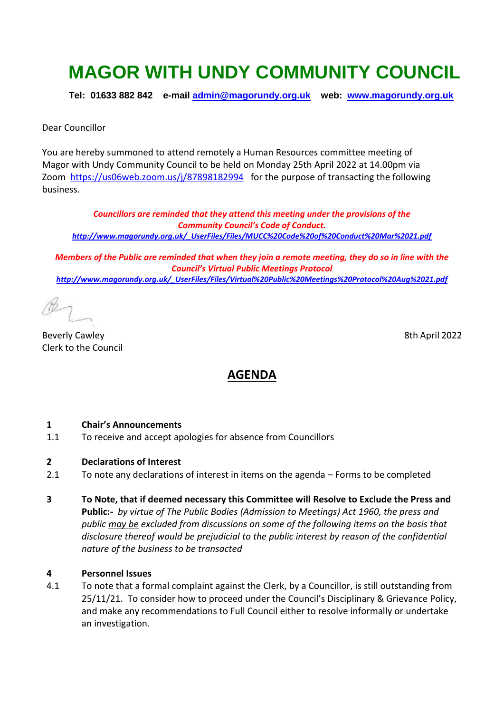# **MAGOR WITH UNDY COMMUNITY COUNCIL**

**Tel: 01633 882 842 e-mail [admin@magorundy.org.uk](mailto:admin@magorundy.org.uk) web: [www.magorundy.org.uk](http://www.magorundy.org.uk/)**

Dear Councillor

You are hereby summoned to attend remotely a Human Resources committee meeting of Magor with Undy Community Council to be held on Monday 25th April 2022 at 14.00pm via Zoom <https://us06web.zoom.us/j/87898182994> for the purpose of transacting the following business.

*Councillors are reminded that they attend this meeting under the provisions of the Community Council's Code of Conduct. [http://www.magorundy.org.uk/\\_UserFiles/Files/MUCC%20Code%20of%20Conduct%20Mar%2021.pdf](http://www.magorundy.org.uk/_UserFiles/Files/MUCC%20Code%20of%20Conduct%20Mar%2021.pdf)*

*Members of the Public are reminded that when they join a remote meeting, they do so in line with the Council's Virtual Public Meetings Protocol [http://www.magorundy.org.uk/\\_UserFiles/Files/Virtual%20Public%20Meetings%20Protocol%20Aug%2021.pdf](http://www.magorundy.org.uk/_UserFiles/Files/Virtual%20Public%20Meetings%20Protocol%20Aug%2021.pdf)*

Beverly Cawley 8th April 2022 Clerk to the Council

# **AGENDA**

#### **1 Chair's Announcements**

- 1.1 To receive and accept apologies for absence from Councillors
- **2 Declarations of Interest**
- 2.1 To note any declarations of interest in items on the agenda Forms to be completed
- **3 To Note, that if deemed necessary this Committee will Resolve to Exclude the Press and Public:-** *by virtue of The Public Bodies (Admission to Meetings) Act 1960, the press and public may be excluded from discussions on some of the following items on the basis that disclosure thereof would be prejudicial to the public interest by reason of the confidential nature of the business to be transacted*

#### **4 Personnel Issues**

4.1 To note that a formal complaint against the Clerk, by a Councillor, is still outstanding from 25/11/21. To consider how to proceed under the Council's Disciplinary & Grievance Policy, and make any recommendations to Full Council either to resolve informally or undertake an investigation.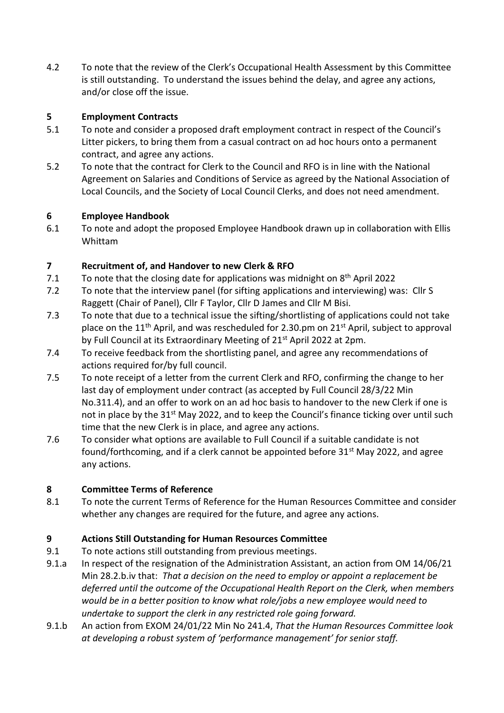4.2 To note that the review of the Clerk's Occupational Health Assessment by this Committee is still outstanding. To understand the issues behind the delay, and agree any actions, and/or close off the issue.

#### **5 Employment Contracts**

- 5.1 To note and consider a proposed draft employment contract in respect of the Council's Litter pickers, to bring them from a casual contract on ad hoc hours onto a permanent contract, and agree any actions.
- 5.2 To note that the contract for Clerk to the Council and RFO is in line with the National Agreement on Salaries and Conditions of Service as agreed by the National Association of Local Councils, and the Society of Local Council Clerks, and does not need amendment.

#### **6 Employee Handbook**

6.1 To note and adopt the proposed Employee Handbook drawn up in collaboration with Ellis Whittam

## **7 Recruitment of, and Handover to new Clerk & RFO**

- 7.1 To note that the closing date for applications was midnight on  $8<sup>th</sup>$  April 2022
- 7.2 To note that the interview panel (for sifting applications and interviewing) was: Cllr S Raggett (Chair of Panel), Cllr F Taylor, Cllr D James and Cllr M Bisi.
- 7.3 To note that due to a technical issue the sifting/shortlisting of applications could not take place on the 11<sup>th</sup> April, and was rescheduled for 2.30.pm on 21<sup>st</sup> April, subject to approval by Full Council at its Extraordinary Meeting of 21<sup>st</sup> April 2022 at 2pm.
- 7.4 To receive feedback from the shortlisting panel, and agree any recommendations of actions required for/by full council.
- 7.5 To note receipt of a letter from the current Clerk and RFO, confirming the change to her last day of employment under contract (as accepted by Full Council 28/3/22 Min No.311.4), and an offer to work on an ad hoc basis to handover to the new Clerk if one is not in place by the 31<sup>st</sup> May 2022, and to keep the Council's finance ticking over until such time that the new Clerk is in place, and agree any actions.
- 7.6 To consider what options are available to Full Council if a suitable candidate is not found/forthcoming, and if a clerk cannot be appointed before  $31<sup>st</sup>$  May 2022, and agree any actions.

## **8 Committee Terms of Reference**

8.1 To note the current Terms of Reference for the Human Resources Committee and consider whether any changes are required for the future, and agree any actions.

## **9 Actions Still Outstanding for Human Resources Committee**

- 9.1 To note actions still outstanding from previous meetings.
- 9.1.a In respect of the resignation of the Administration Assistant, an action from OM 14/06/21 Min 28.2.b.iv that: *That a decision on the need to employ or appoint a replacement be deferred until the outcome of the Occupational Health Report on the Clerk, when members would be in a better position to know what role/jobs a new employee would need to undertake to support the clerk in any restricted role going forward.*
- 9.1.b An action from EXOM 24/01/22 Min No 241.4, *That the Human Resources Committee look at developing a robust system of 'performance management' for senior staff.*